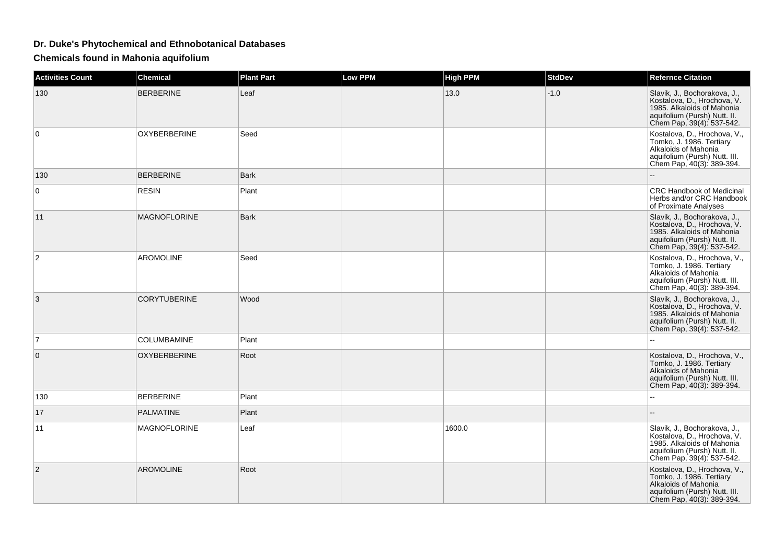## **Dr. Duke's Phytochemical and Ethnobotanical Databases**

**Chemicals found in Mahonia aquifolium**

| <b>Activities Count</b> | <b>Chemical</b>     | <b>Plant Part</b> | Low PPM | <b>High PPM</b> | <b>StdDev</b> | <b>Refernce Citation</b>                                                                                                                               |
|-------------------------|---------------------|-------------------|---------|-----------------|---------------|--------------------------------------------------------------------------------------------------------------------------------------------------------|
| 130                     | <b>BERBERINE</b>    | Leaf              |         | 13.0            | $-1.0$        | Slavik, J., Bochorakova, J.,<br>Kostalova, D., Hrochova, V.<br>1985. Alkaloids of Mahonia<br>aquifolium (Pursh) Nutt. II.<br>Chem Pap, 39(4): 537-542. |
| 0                       | OXYBERBERINE        | Seed              |         |                 |               | Kostalova, D., Hrochova, V.,<br>Tomko, J. 1986. Tertiary<br>Alkaloids of Mahonia<br>aquifolium (Pursh) Nutt. III.<br>Chem Pap, 40(3): 389-394.         |
| 130                     | <b>BERBERINE</b>    | <b>Bark</b>       |         |                 |               |                                                                                                                                                        |
| 0                       | <b>RESIN</b>        | Plant             |         |                 |               | <b>CRC Handbook of Medicinal</b><br>Herbs and/or CRC Handbook<br>of Proximate Analyses                                                                 |
| 11                      | <b>MAGNOFLORINE</b> | <b>Bark</b>       |         |                 |               | Slavik, J., Bochorakova, J.,<br>Kostalova, D., Hrochova, V.<br>1985. Alkaloids of Mahonia<br>aquifolium (Pursh) Nutt. II.<br>Chem Pap, 39(4): 537-542. |
| $\overline{2}$          | <b>AROMOLINE</b>    | Seed              |         |                 |               | Kostalova, D., Hrochova, V.,<br>Tomko, J. 1986. Tertiary<br>Alkaloids of Mahonia<br>aquifolium (Pursh) Nutt. III.<br>Chem Pap, 40(3): 389-394.         |
| 3                       | <b>CORYTUBERINE</b> | Wood              |         |                 |               | Slavik, J., Bochorakova, J.,<br>Kostalova, D., Hrochova, V.<br>1985. Alkaloids of Mahonia<br>aquifolium (Pursh) Nutt. II.<br>Chem Pap, 39(4): 537-542. |
| $\overline{7}$          | COLUMBAMINE         | Plant             |         |                 |               |                                                                                                                                                        |
| $\mathbf{0}$            | <b>OXYBERBERINE</b> | Root              |         |                 |               | Kostalova, D., Hrochova, V.,<br>Tomko, J. 1986. Tertiary<br>Alkaloids of Mahonia<br>aquifolium (Pursh) Nutt. III.<br>Chem Pap, 40(3): 389-394.         |
| 130                     | <b>BERBERINE</b>    | Plant             |         |                 |               | $\sim$                                                                                                                                                 |
| 17                      | <b>PALMATINE</b>    | Plant             |         |                 |               |                                                                                                                                                        |
| 11                      | <b>MAGNOFLORINE</b> | Leaf              |         | 1600.0          |               | Slavik, J., Bochorakova, J.,<br>Kostalova, D., Hrochova, V.<br>1985. Alkaloids of Mahonia<br>aquifolium (Pursh) Nutt. II.<br>Chem Pap, 39(4): 537-542. |
| $\overline{2}$          | <b>AROMOLINE</b>    | Root              |         |                 |               | Kostalova, D., Hrochova, V.,<br>Tomko, J. 1986. Tertiary<br>Alkaloids of Mahonia<br>aquifolium (Pursh) Nutt. III.<br>Chem Pap, 40(3): 389-394.         |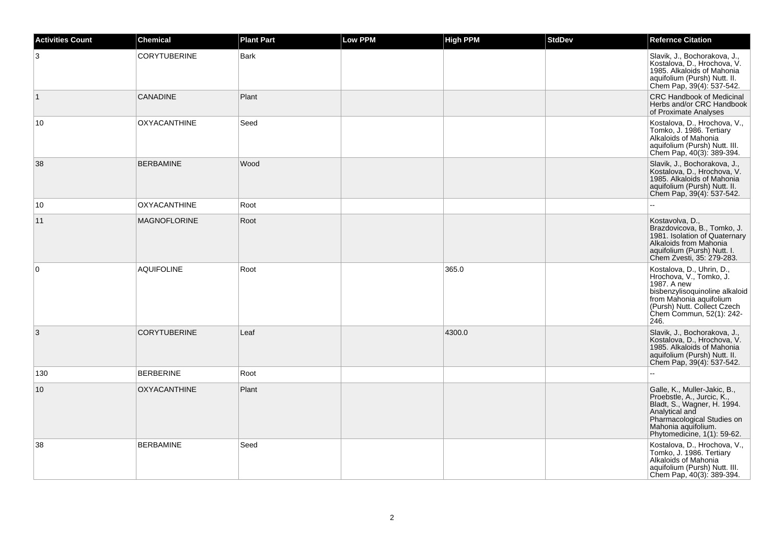| <b>Activities Count</b> | <b>Chemical</b>     | <b>Plant Part</b> | <b>Low PPM</b> | <b>High PPM</b> | <b>StdDev</b> | <b>Refernce Citation</b>                                                                                                                                                                            |
|-------------------------|---------------------|-------------------|----------------|-----------------|---------------|-----------------------------------------------------------------------------------------------------------------------------------------------------------------------------------------------------|
| 3                       | <b>CORYTUBERINE</b> | <b>Bark</b>       |                |                 |               | Slavik, J., Bochorakova, J.,<br>Kostalova, D., Hrochova, V.<br>1985. Alkaloids of Mahonia<br>aquifolium (Pursh) Nutt. II.<br>Chem Pap, 39(4): 537-542.                                              |
| $\vert$ 1               | <b>CANADINE</b>     | Plant             |                |                 |               | <b>CRC Handbook of Medicinal</b><br>Herbs and/or CRC Handbook<br>of Proximate Analyses                                                                                                              |
| 10                      | <b>OXYACANTHINE</b> | Seed              |                |                 |               | Kostalova, D., Hrochova, V.,<br>Tomko, J. 1986. Tertiary<br>Alkaloids of Mahonia<br>aquifolium (Pursh) Nutt. III.<br>Chem Pap, 40(3): 389-394.                                                      |
| 38                      | <b>BERBAMINE</b>    | Wood              |                |                 |               | Slavik, J., Bochorakova, J.,<br>Kostalova, D., Hrochova, V.<br>1985. Alkaloids of Mahonia<br>aquifolium (Pursh) Nutt. II.<br>Chem Pap, 39(4): 537-542.                                              |
| 10                      | <b>OXYACANTHINE</b> | Root              |                |                 |               |                                                                                                                                                                                                     |
| 11                      | <b>MAGNOFLORINE</b> | Root              |                |                 |               | Kostavolva, D.,<br>Brazdovicova, B., Tomko, J.<br>1981. Isolation of Quaternary<br>Alkaloids from Mahonia<br>aquifolium (Pursh) Nutt. I.<br>Chem Zvesti, 35: 279-283.                               |
| 0                       | <b>AQUIFOLINE</b>   | Root              |                | 365.0           |               | Kostalova, D., Uhrin, D.,<br>Hrochova, V., Tomko, J.<br>1987. A new<br>bisbenzylisoquinoline alkaloid<br>from Mahonia aquifolium<br>(Pursh) Nutt. Collect Czech<br>Chem Commun, 52(1): 242-<br>246. |
| 3                       | <b>CORYTUBERINE</b> | Leaf              |                | 4300.0          |               | Slavik, J., Bochorakova, J.,<br>Kostalova, D., Hrochova, V.<br>1985. Alkaloids of Mahonia<br>aquifolium (Pursh) Nutt. II.<br>Chem Pap, 39(4): 537-542.                                              |
| 130                     | <b>BERBERINE</b>    | Root              |                |                 |               |                                                                                                                                                                                                     |
| 10                      | <b>OXYACANTHINE</b> | Plant             |                |                 |               | Galle, K., Muller-Jakic, B.,<br>Proebstle, A., Jurcic, K.,<br>Bladt, S., Wagner, H. 1994.<br>Analytical and<br>Pharmacological Studies on<br>Mahonia aquifolium.<br>Phytomedicine, 1(1): 59-62.     |
| 38                      | <b>BERBAMINE</b>    | Seed              |                |                 |               | Kostalova, D., Hrochova, V.,<br>Tomko, J. 1986. Tertiary<br>Alkaloids of Mahonia<br>aquifolium (Pursh) Nutt. III.<br>Chem Pap, 40(3): 389-394.                                                      |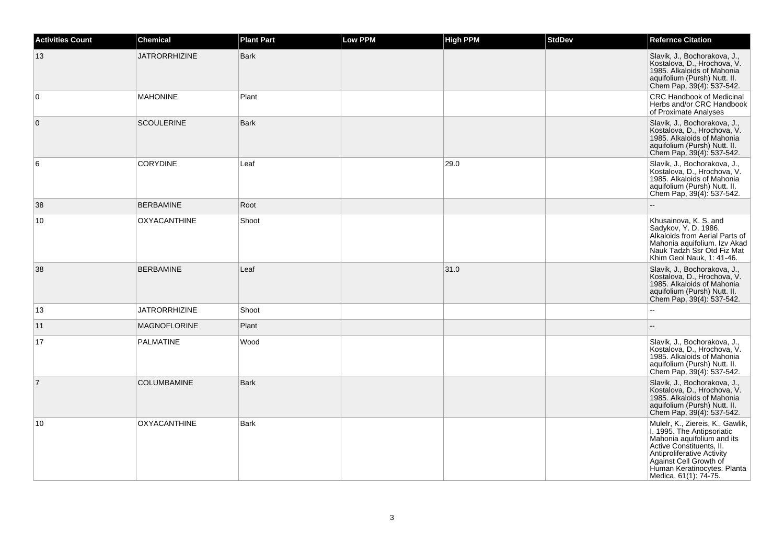| <b>Activities Count</b> | <b>Chemical</b>      | <b>Plant Part</b> | <b>Low PPM</b> | <b>High PPM</b> | <b>StdDev</b> | <b>Refernce Citation</b>                                                                                                                                                                                                                 |
|-------------------------|----------------------|-------------------|----------------|-----------------|---------------|------------------------------------------------------------------------------------------------------------------------------------------------------------------------------------------------------------------------------------------|
| 13                      | <b>JATRORRHIZINE</b> | Bark              |                |                 |               | Slavik, J., Bochorakova, J.,<br>Kostalova, D., Hrochova, V.<br>1985. Alkaloids of Mahonia<br>aquifolium (Pursh) Nutt. II.<br>Chem Pap, 39(4): 537-542.                                                                                   |
| $\Omega$                | <b>MAHONINE</b>      | Plant             |                |                 |               | <b>CRC Handbook of Medicinal</b><br>Herbs and/or CRC Handbook<br>of Proximate Analyses                                                                                                                                                   |
| $\mathbf{0}$            | <b>SCOULERINE</b>    | <b>Bark</b>       |                |                 |               | Slavik, J., Bochorakova, J.,<br>Kostalova, D., Hrochova, V.<br>1985. Alkaloids of Mahonia<br>aquifolium (Pursh) Nutt. II.<br>Chem Pap, 39(4): 537-542.                                                                                   |
| 6                       | <b>CORYDINE</b>      | Leaf              |                | 29.0            |               | Slavik, J., Bochorakova, J.,<br>Kostalova, D., Hrochova, V.<br>1985. Alkaloids of Mahonia<br>aquifolium (Pursh) Nutt. II.<br>Chem Pap, 39(4): 537-542.                                                                                   |
| 38                      | <b>BERBAMINE</b>     | Root              |                |                 |               |                                                                                                                                                                                                                                          |
| 10                      | <b>OXYACANTHINE</b>  | Shoot             |                |                 |               | Khusainova, K. S. and<br>Sadykov, Y. D. 1986.<br>Alkaloids from Aerial Parts of<br>Mahonia aquifolium. Izv Akad<br>Nauk Tadzh Ssr Otd Fiz Mat<br>Khim Geol Nauk, 1: 41-46.                                                               |
| 38                      | <b>BERBAMINE</b>     | Leaf              |                | 31.0            |               | Slavik, J., Bochorakova, J.,<br>Kostalova, D., Hrochova, V.<br>1985. Alkaloids of Mahonia<br>aquifolium (Pursh) Nutt. II.<br>Chem Pap, 39(4): 537-542.                                                                                   |
| 13                      | <b>JATRORRHIZINE</b> | Shoot             |                |                 |               |                                                                                                                                                                                                                                          |
| 11                      | <b>MAGNOFLORINE</b>  | Plant             |                |                 |               |                                                                                                                                                                                                                                          |
| 17                      | PALMATINE            | Wood              |                |                 |               | Slavik, J., Bochorakova, J.,<br>Kostalova, D., Hrochova, V.<br>1985. Alkaloids of Mahonia<br>aquifolium (Pursh) Nutt. II.<br>Chem Pap, 39(4): 537-542.                                                                                   |
| $\overline{7}$          | <b>COLUMBAMINE</b>   | Bark              |                |                 |               | Slavik, J., Bochorakova, J.,<br>Kostalova, D., Hrochova, V.<br>1985. Alkaloids of Mahonia<br>aquifolium (Pursh) Nutt. II.<br>Chem Pap, 39(4): 537-542.                                                                                   |
| 10                      | <b>OXYACANTHINE</b>  | <b>Bark</b>       |                |                 |               | Mulelr, K., Ziereis, K., Gawlik,<br>I. 1995. The Antipsoriatic<br>Mahonia aquifolium and its<br>Active Constituents, II.<br>Antiproliferative Activity<br>Against Cell Growth of<br>Human Keratinocytes. Planta<br>Medica, 61(1): 74-75. |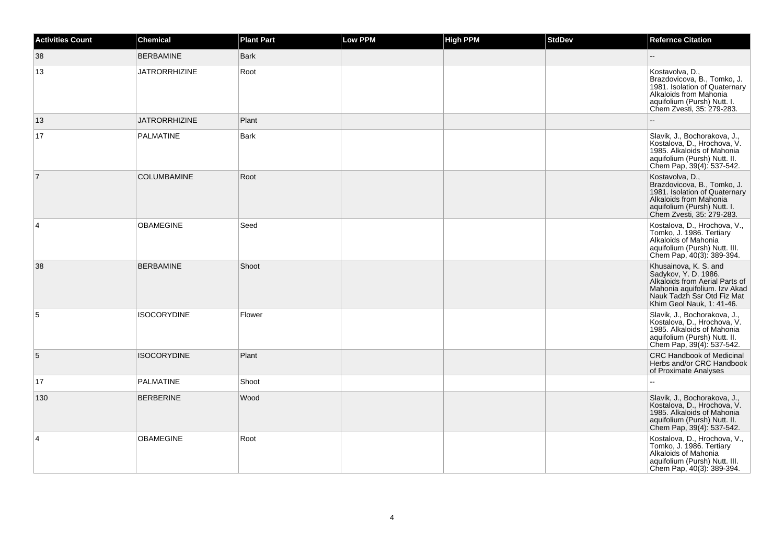| <b>Activities Count</b> | <b>Chemical</b>      | <b>Plant Part</b> | Low PPM | High PPM | <b>StdDev</b> | <b>Refernce Citation</b>                                                                                                                                                   |
|-------------------------|----------------------|-------------------|---------|----------|---------------|----------------------------------------------------------------------------------------------------------------------------------------------------------------------------|
| 38                      | <b>BERBAMINE</b>     | <b>Bark</b>       |         |          |               |                                                                                                                                                                            |
| 13                      | <b>JATRORRHIZINE</b> | Root              |         |          |               | Kostavolva, D.,<br>Brazdovicova, B., Tomko, J.<br>1981. Isolation of Quaternary<br>Alkaloids from Mahonia<br>aquifolium (Pursh) Nutt. I.<br>Chem Zvesti, 35: 279-283.      |
| 13                      | <b>JATRORRHIZINE</b> | Plant             |         |          |               |                                                                                                                                                                            |
| 17                      | <b>PALMATINE</b>     | <b>Bark</b>       |         |          |               | Slavik, J., Bochorakova, J.,<br>Kostalova, D., Hrochova, V.<br>1985. Alkaloids of Mahonia<br>aquifolium (Pursh) Nutt. II.<br>Chem Pap, 39(4): 537-542.                     |
| $\overline{7}$          | <b>COLUMBAMINE</b>   | Root              |         |          |               | Kostavolva, D.,<br>Brazdovicova, B., Tomko, J.<br>1981. Isolation of Quaternary<br>Alkaloids from Mahonia<br>aquifolium (Pursh) Nutt. I.<br>Chem Zvesti, 35: 279-283.      |
| 4                       | <b>OBAMEGINE</b>     | Seed              |         |          |               | Kostalova, D., Hrochova, V.,<br>Tomko, J. 1986. Tertiary<br>Alkaloids of Mahonia<br>aquifolium (Pursh) Nutt. III.<br>Chem Pap, 40(3): 389-394.                             |
| 38                      | <b>BERBAMINE</b>     | Shoot             |         |          |               | Khusainova, K. S. and<br>Sadykov, Y. D. 1986.<br>Alkaloids from Aerial Parts of<br>Mahonia aquifolium. Izv Akad<br>Nauk Tadzh Ssr Otd Fiz Mat<br>Khim Geol Nauk, 1: 41-46. |
| 5                       | <b>ISOCORYDINE</b>   | Flower            |         |          |               | Slavik, J., Bochorakova, J.,<br>Kostalova, D., Hrochova, V.<br>1985. Alkaloids of Mahonia<br>aquifolium (Pursh) Nutt. II.<br>Chem Pap, 39(4): 537-542.                     |
| 5                       | <b>ISOCORYDINE</b>   | Plant             |         |          |               | <b>CRC Handbook of Medicinal</b><br>Herbs and/or CRC Handbook<br>of Proximate Analyses                                                                                     |
| 17                      | <b>PALMATINE</b>     | Shoot             |         |          |               |                                                                                                                                                                            |
| 130                     | <b>BERBERINE</b>     | Wood              |         |          |               | Slavik, J., Bochorakova, J.,<br>Kostalova, D., Hrochova, V.<br>1985. Alkaloids of Mahonia<br>aquifolium (Pursh) Nutt. II.<br>Chem Pap, 39(4): 537-542.                     |
| 4                       | <b>OBAMEGINE</b>     | Root              |         |          |               | Kostalova, D., Hrochova, V.,<br>Tomko, J. 1986. Tertiary<br>Alkaloids of Mahonia<br>aquifolium (Pursh) Nutt. III.<br>Chem Pap, 40(3): 389-394.                             |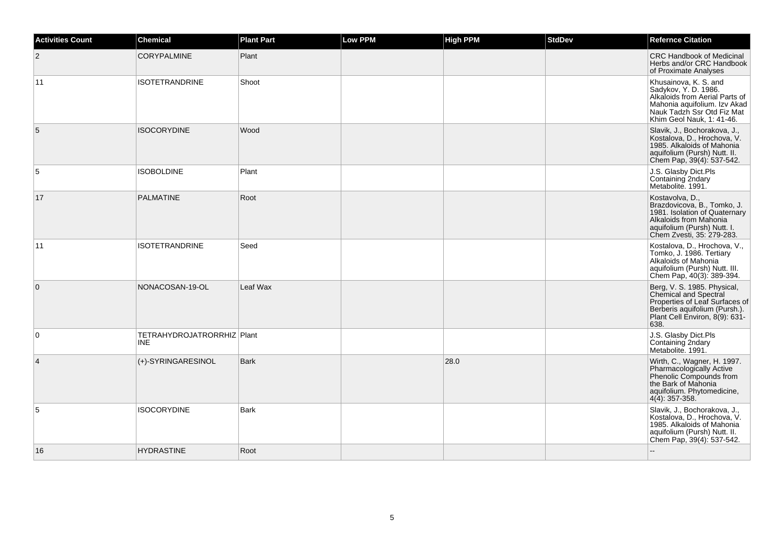| <b>Activities Count</b> | Chemical                                 | <b>Plant Part</b> | <b>Low PPM</b> | <b>High PPM</b> | <b>StdDev</b> | <b>Refernce Citation</b>                                                                                                                                                   |
|-------------------------|------------------------------------------|-------------------|----------------|-----------------|---------------|----------------------------------------------------------------------------------------------------------------------------------------------------------------------------|
| $\overline{2}$          | <b>CORYPALMINE</b>                       | Plant             |                |                 |               | <b>CRC Handbook of Medicinal</b><br>Herbs and/or CRC Handbook<br>of Proximate Analyses                                                                                     |
| 11                      | <b>ISOTETRANDRINE</b>                    | Shoot             |                |                 |               | Khusainova, K. S. and<br>Sadykov, Y. D. 1986.<br>Alkaloids from Aerial Parts of<br>Mahonia aquifolium. Izv Akad<br>Nauk Tadzh Ssr Otd Fiz Mat<br>Khim Geol Nauk, 1: 41-46. |
| 5                       | <b>ISOCORYDINE</b>                       | Wood              |                |                 |               | Slavik, J., Bochorakova, J.,<br>Kostalova, D., Hrochova, V.<br>1985. Alkaloids of Mahonia<br>aquifolium (Pursh) Nutt. II.<br>Chem Pap, 39(4): 537-542.                     |
| 5                       | <b>ISOBOLDINE</b>                        | Plant             |                |                 |               | J.S. Glasby Dict.Pls<br>Containing 2ndary<br>Metabolite. 1991.                                                                                                             |
| 17                      | <b>PALMATINE</b>                         | Root              |                |                 |               | Kostavolva, D.,<br>Brazdovicova, B., Tomko, J.<br>1981. Isolation of Quaternary<br>Alkaloids from Mahonia<br>aquifolium (Pursh) Nutt. I.<br>Chem Zvesti, 35: 279-283.      |
| 11                      | <b>ISOTETRANDRINE</b>                    | Seed              |                |                 |               | Kostalova, D., Hrochova, V.,<br>Tomko, J. 1986. Tertiary<br>Alkaloids of Mahonia<br>aquifolium (Pursh) Nutt. III.<br>Chem Pap, 40(3): 389-394.                             |
| $\mathbf{0}$            | NONACOSAN-19-OL                          | Leaf Wax          |                |                 |               | Berg, V. S. 1985. Physical, Chemical and Spectral<br>Properties of Leaf Surfaces of<br>Berberis aquifolium (Pursh.).<br>Plant Cell Environ, 8(9): 631-<br>638.             |
| $\mathbf 0$             | TETRAHYDROJATRORRHIZ Plant<br><b>INE</b> |                   |                |                 |               | J.S. Glasby Dict.Pls<br>Containing 2ndary<br>Metabolite. 1991.                                                                                                             |
| 4                       | (+)-SYRINGARESINOL                       | <b>Bark</b>       |                | 28.0            |               | Wirth, C., Wagner, H. 1997.<br>Pharmacologically Active<br>Phenolic Compounds from<br>the Bark of Mahonia<br>aquifolium. Phytomedicine,<br>4(4): 357-358.                  |
| 5                       | <b>ISOCORYDINE</b>                       | <b>Bark</b>       |                |                 |               | Slavik, J., Bochorakova, J.,<br>Kostalova, D., Hrochova, V.<br>1985. Alkaloids of Mahonia<br>aquifolium (Pursh) Nutt. II.<br>Chem Pap, 39(4): 537-542.                     |
| 16                      | <b>HYDRASTINE</b>                        | Root              |                |                 |               |                                                                                                                                                                            |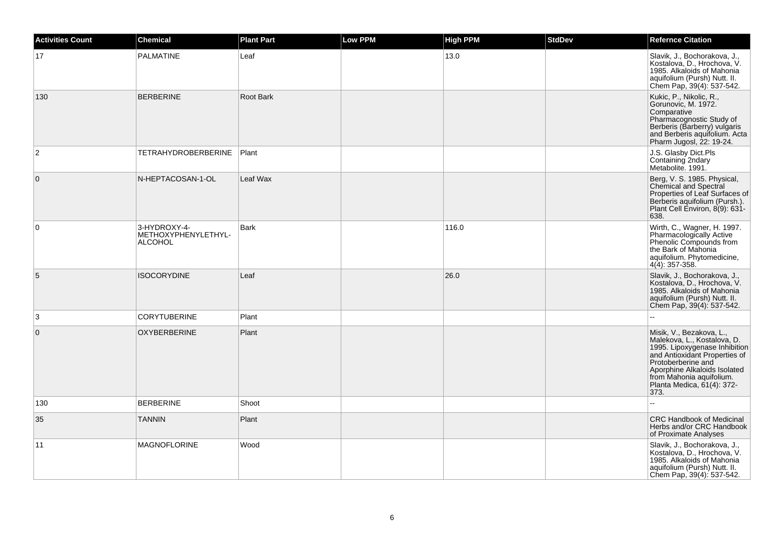| <b>Activities Count</b> | <b>Chemical</b>                                       | <b>Plant Part</b> | <b>Low PPM</b> | <b>High PPM</b> | <b>StdDev</b> | <b>Refernce Citation</b>                                                                                                                                                                                                                          |
|-------------------------|-------------------------------------------------------|-------------------|----------------|-----------------|---------------|---------------------------------------------------------------------------------------------------------------------------------------------------------------------------------------------------------------------------------------------------|
| 17                      | PALMATINE                                             | Leaf              |                | 13.0            |               | Slavik, J., Bochorakova, J.,<br>Kostalova, D., Hrochova, V.<br>1985. Alkaloids of Mahonia<br>aquifolium (Pursh) Nutt. II.<br>Chem Pap, 39(4): 537-542.                                                                                            |
| 130                     | <b>BERBERINE</b>                                      | Root Bark         |                |                 |               | Kukic, P., Nikolic, R.,<br>Gorunovic, M. 1972.<br>Comparative<br>Pharmacognostic Study of<br>Berberis (Barberry) vulgaris<br>and Berberis aquifolium. Acta<br>Pharm Jugosl, 22: 19-24.                                                            |
| 2                       | TETRAHYDROBERBERINE                                   | Plant             |                |                 |               | J.S. Glasby Dict.Pls<br>Containing 2ndary<br>Metabolite. 1991.                                                                                                                                                                                    |
| $\overline{0}$          | N-HEPTACOSAN-1-OL                                     | Leaf Wax          |                |                 |               | Berg, V. S. 1985. Physical,<br>Chemical and Spectral<br>Properties of Leaf Surfaces of<br>Berberis aquifolium (Pursh.).<br>Plant Cell Environ, 8(9): 631-<br>638.                                                                                 |
| 0                       | 3-HYDROXY-4-<br>METHOXYPHENYLETHYL-<br><b>ALCOHOL</b> | Bark              |                | 116.0           |               | Wirth, C., Wagner, H. 1997.<br>Pharmacologically Active<br>Phenolic Compounds from<br>the Bark of Mahonia<br>aquifolium. Phytomedicine,<br>$4(4)$ : 357-358.                                                                                      |
| 5                       | <b>ISOCORYDINE</b>                                    | Leaf              |                | 26.0            |               | Slavik, J., Bochorakova, J.,<br>Kostalova, D., Hrochova, V.<br>1985. Alkaloids of Mahonia<br>aquifolium (Pursh) Nutt. II.<br>Chem Pap, 39(4): 537-542.                                                                                            |
| 3                       | <b>CORYTUBERINE</b>                                   | Plant             |                |                 |               |                                                                                                                                                                                                                                                   |
| $\mathbf 0$             | <b>OXYBERBERINE</b>                                   | Plant             |                |                 |               | Misik, V., Bezakova, L.,<br>Malekova, L., Kostalova, D.<br>1995. Lipoxygenase Inhibition<br>and Antioxidant Properties of<br>Protoberberine and<br>Aporphine Alkaloids Isolated<br>from Mahonia aquifolium.<br>Planta Medica, 61(4): 372-<br>373. |
| 130                     | <b>BERBERINE</b>                                      | Shoot             |                |                 |               | $\overline{a}$                                                                                                                                                                                                                                    |
| 35                      | <b>TANNIN</b>                                         | Plant             |                |                 |               | <b>CRC Handbook of Medicinal</b><br>Herbs and/or CRC Handbook<br>of Proximate Analyses                                                                                                                                                            |
| 11                      | <b>MAGNOFLORINE</b>                                   | Wood              |                |                 |               | Slavik, J., Bochorakova, J.,<br>Kostalova, D., Hrochova, V.<br>1985. Alkaloids of Mahonia<br>aquifolium (Pursh) Nutt. II.<br>Chem Pap, 39(4): 537-542.                                                                                            |